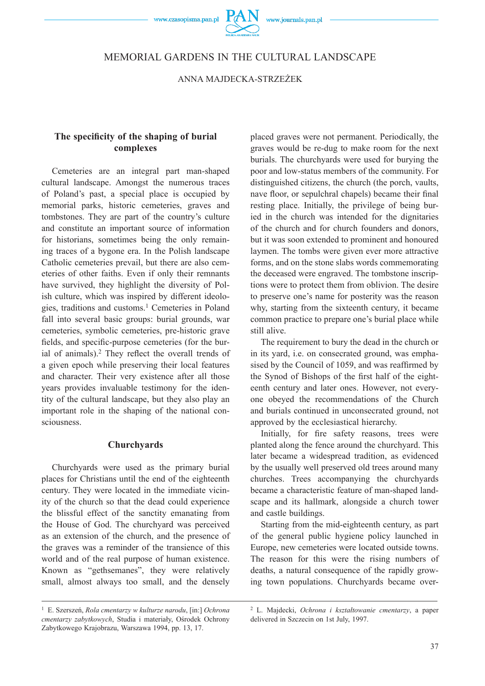# MEMORIAL GARDENS IN THE CULTURAL LANDSCAPE

ANNA MAJDECKA-STRZEŻEK

# The specificity of the shaping of burial **complexes**

Cemeteries are an integral part man-shaped cultural landscape. Amongst the numerous traces of Poland's past, a special place is occupied by memorial parks, historic cemeteries, graves and tombstones. They are part of the country's culture and constitute an important source of information for historians, sometimes being the only remaining traces of a bygone era. In the Polish landscape Catholic cemeteries prevail, but there are also cemeteries of other faiths. Even if only their remnants have survived, they highlight the diversity of Polish culture, which was inspired by different ideologies, traditions and customs.1 Cemeteries in Poland fall into several basic groups: burial grounds, war cemeteries, symbolic cemeteries, pre-historic grave fields, and specific-purpose cemeteries (for the burial of animals).<sup>2</sup> They reflect the overall trends of a given epoch while preserving their local features and character. Their very existence after all those years provides invaluable testimony for the identity of the cultural landscape, but they also play an important role in the shaping of the national consciousness.

### **Churchyards**

Churchyards were used as the primary burial places for Christians until the end of the eighteenth century. They were located in the immediate vicinity of the church so that the dead could experience the blissful effect of the sanctity emanating from the House of God. The churchyard was perceived as an extension of the church, and the presence of the graves was a reminder of the transience of this world and of the real purpose of human existence. Known as "gethsemanes", they were relatively small, almost always too small, and the densely

placed graves were not permanent. Periodically, the graves would be re-dug to make room for the next burials. The churchyards were used for burying the poor and low-status members of the community. For distinguished citizens, the church (the porch, vaults, nave floor, or sepulchral chapels) became their final resting place. Initially, the privilege of being buried in the church was intended for the dignitaries of the church and for church founders and donors, but it was soon extended to prominent and honoured laymen. The tombs were given ever more attractive forms, and on the stone slabs words commemorating the deceased were engraved. The tombstone inscriptions were to protect them from oblivion. The desire to preserve one's name for posterity was the reason why, starting from the sixteenth century, it became common practice to prepare one's burial place while still alive.

The requirement to bury the dead in the church or in its yard, i.e. on consecrated ground, was emphasised by the Council of 1059, and was reaffirmed by the Synod of Bishops of the first half of the eighteenth century and later ones. However, not everyone obeyed the recommendations of the Church and burials continued in unconsecrated ground, not approved by the ecclesiastical hierarchy.

Initially, for fire safety reasons, trees were planted along the fence around the churchyard. This later became a widespread tradition, as evidenced by the usually well preserved old trees around many churches. Trees accompanying the churchyards became a characteristic feature of man-shaped landscape and its hallmark, alongside a church tower and castle buildings.

Starting from the mid-eighteenth century, as part of the general public hygiene policy launched in Europe, new cemeteries were located outside towns. The reason for this were the rising numbers of deaths, a natural consequence of the rapidly growing town populations. Churchyards became over-

<sup>1</sup> E. Szerszeń, *Rola cmentarzy w kulturze narodu*, [in:] *Ochrona cmentarzy zabytkowych*, Studia i materiały, Ośrodek Ochrony Zabytkowego Krajobrazu, Warszawa 1994, pp. 13, 17.

<sup>2</sup> L. Majdecki, *Ochrona i kształtowanie cmentarzy*, a paper delivered in Szczecin on 1st July, 1997.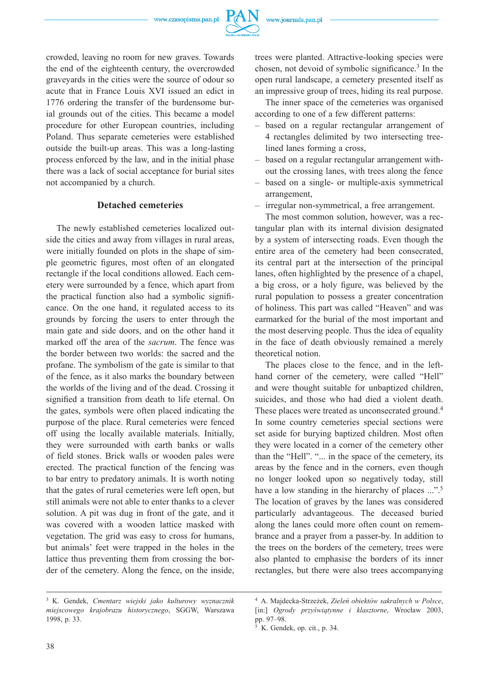$P\mathcal{A}$ 



crowded, leaving no room for new graves. Towards the end of the eighteenth century, the overcrowded graveyards in the cities were the source of odour so acute that in France Louis XVI issued an edict in 1776 ordering the transfer of the burdensome burial grounds out of the cities. This became a model procedure for other European countries, including Poland. Thus separate cemeteries were established outside the built-up areas. This was a long-lasting process enforced by the law, and in the initial phase there was a lack of social acceptance for burial sites not accompanied by a church.

### **Detached cemeteries**

The newly established cemeteries localized outside the cities and away from villages in rural areas, were initially founded on plots in the shape of simple geometric figures, most often of an elongated rectangle if the local conditions allowed. Each cemetery were surrounded by a fence, which apart from the practical function also had a symbolic significance. On the one hand, it regulated access to its grounds by forcing the users to enter through the main gate and side doors, and on the other hand it marked off the area of the *sacrum*. The fence was the border between two worlds: the sacred and the profane. The symbolism of the gate is similar to that of the fence, as it also marks the boundary between the worlds of the living and of the dead. Crossing it signified a transition from death to life eternal. On the gates, symbols were often placed indicating the purpose of the place. Rural cemeteries were fenced off using the locally available materials. Initially, they were surrounded with earth banks or walls of field stones. Brick walls or wooden pales were erected. The practical function of the fencing was to bar entry to predatory animals. It is worth noting that the gates of rural cemeteries were left open, but still animals were not able to enter thanks to a clever solution. A pit was dug in front of the gate, and it was covered with a wooden lattice masked with vegetation. The grid was easy to cross for humans, but animals' feet were trapped in the holes in the lattice thus preventing them from crossing the border of the cemetery. Along the fence, on the inside,

trees were planted. Attractive-looking species were chosen, not devoid of symbolic significance.<sup>3</sup> In the open rural landscape, a cemetery presented itself as an impressive group of trees, hiding its real purpose.

The inner space of the cemeteries was organised according to one of a few different patterns:

- based on a regular rectangular arrangement of 4 rectangles delimited by two intersecting treelined lanes forming a cross,
- based on a regular rectangular arrangement without the crossing lanes, with trees along the fence
- based on a single- or multiple-axis symmetrical arrangement,
- irregular non-symmetrical, a free arrangement.

The most common solution, however, was a rectangular plan with its internal division designated by a system of intersecting roads. Even though the entire area of the cemetery had been consecrated, its central part at the intersection of the principal lanes, often highlighted by the presence of a chapel, a big cross, or a holy figure, was believed by the rural population to possess a greater concentration of holiness. This part was called "Heaven" and was earmarked for the burial of the most important and the most deserving people. Thus the idea of equality in the face of death obviously remained a merely theoretical notion.

The places close to the fence, and in the lefthand corner of the cemetery, were called "Hell" and were thought suitable for unbaptized children, suicides, and those who had died a violent death. These places were treated as unconsecrated ground.<sup>4</sup> In some country cemeteries special sections were set aside for burying baptized children. Most often they were located in a corner of the cemetery other than the "Hell". "... in the space of the cemetery, its areas by the fence and in the corners, even though no longer looked upon so negatively today, still have a low standing in the hierarchy of places ...".<sup>5</sup> The location of graves by the lanes was considered particularly advantageous. The deceased buried along the lanes could more often count on remembrance and a prayer from a passer-by. In addition to the trees on the borders of the cemetery, trees were also planted to emphasise the borders of its inner rectangles, but there were also trees accompanying

<sup>3</sup> K. Gendek, *Cmentarz wiejski jako kulturowy wyznacznik miejscowego krajobrazu historycznego*, SGGW, Warszawa 1998, p. 33.

<sup>4</sup> A. Majdecka-Strzeżek, *Zieleń obiektów sakralnych w Polsce*, [in:] *Ogrody przyświątynne i klasztorne*, Wrocław 2003, pp. 97–98.

<sup>5</sup> K. Gendek, op. cit., p. 34.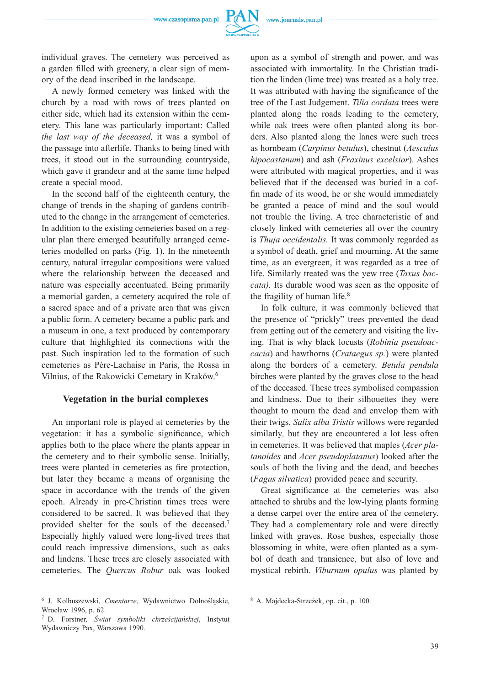

individual graves. The cemetery was perceived as a garden filled with greenery, a clear sign of memory of the dead inscribed in the landscape.

A newly formed cemetery was linked with the church by a road with rows of trees planted on either side, which had its extension within the cemetery. This lane was particularly important: Called *the last way of the deceased,* it was a symbol of the passage into afterlife. Thanks to being lined with trees, it stood out in the surrounding countryside, which gave it grandeur and at the same time helped create a special mood.

In the second half of the eighteenth century, the change of trends in the shaping of gardens contributed to the change in the arrangement of cemeteries. In addition to the existing cemeteries based on a regular plan there emerged beautifully arranged cemeteries modelled on parks (Fig. 1). In the nineteenth century, natural irregular compositions were valued where the relationship between the deceased and nature was especially accentuated. Being primarily a memorial garden, a cemetery acquired the role of a sacred space and of a private area that was given a public form. A cemetery became a public park and a museum in one, a text produced by contemporary culture that highlighted its connections with the past. Such inspiration led to the formation of such cemeteries as Père-Lachaise in Paris, the Rossa in Vilnius, of the Rakowicki Cemetary in Kraków.6

#### **Vegetation in the burial complexes**

An important role is played at cemeteries by the vegetation: it has a symbolic significance, which applies both to the place where the plants appear in the cemetery and to their symbolic sense. Initially, trees were planted in cemeteries as fire protection, but later they became a means of organising the space in accordance with the trends of the given epoch. Already in pre-Christian times trees were considered to be sacred. It was believed that they provided shelter for the souls of the deceased.7 Especially highly valued were long-lived trees that could reach impressive dimensions, such as oaks and lindens. These trees are closely associated with cemeteries. The *Quercus Robur* oak was looked upon as a symbol of strength and power, and was associated with immortality. In the Christian tradition the linden (lime tree) was treated as a holy tree. It was attributed with having the significance of the tree of the Last Judgement. *Tilia cordata* trees were planted along the roads leading to the cemetery, while oak trees were often planted along its borders. Also planted along the lanes were such trees as hornbeam (*Carpinus betulus*), chestnut (*Aesculus hipocastanum*) and ash (*Fraxinus excelsior*). Ashes were attributed with magical properties, and it was believed that if the deceased was buried in a coffin made of its wood, he or she would immediately be granted a peace of mind and the soul would not trouble the living. A tree characteristic of and closely linked with cemeteries all over the country is *Thuja occidentalis.* It was commonly regarded as a symbol of death, grief and mourning. At the same time, as an evergreen, it was regarded as a tree of life. Similarly treated was the yew tree (*Taxus baccata).* Its durable wood was seen as the opposite of the fragility of human life.<sup>8</sup>

In folk culture, it was commonly believed that the presence of "prickly" trees prevented the dead from getting out of the cemetery and visiting the living. That is why black locusts (*Robinia pseudoaccacia*) and hawthorns (*Crataegus sp.*) were planted along the borders of a cemetery. *Betula pendula* birches were planted by the graves close to the head of the deceased. These trees symbolised compassion and kindness. Due to their silhouettes they were thought to mourn the dead and envelop them with their twigs. *Salix alba Tristis* willows were regarded similarly*,* but they are encountered a lot less often in cemeteries. It was believed that maples (*Acer platanoides* and *Acer pseudoplatanus*) looked after the souls of both the living and the dead, and beeches (*Fagus silvatica*) provided peace and security.

Great significance at the cemeteries was also attached to shrubs and the low-lying plants forming a dense carpet over the entire area of the cemetery. They had a complementary role and were directly linked with graves. Rose bushes, especially those blossoming in white, were often planted as a symbol of death and transience, but also of love and mystical rebirth. *Viburnum opulus* was planted by

<sup>6</sup> J. Kolbuszewski, *Cmentarze*, Wydawnictwo Dolnośląskie, Wrocław 1996, p. 62.

<sup>7</sup> D. Forstner*, Świat symboliki chrześcijańskiej*, Instytut Wydawniczy Pax, Warszawa 1990.

<sup>8</sup> A. Majdecka-Strzeżek, op. cit., p. 100.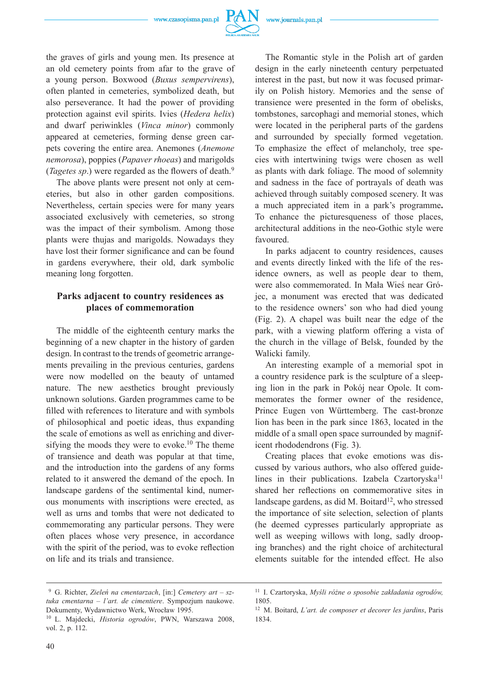

the graves of girls and young men. Its presence at an old cemetery points from afar to the grave of a young person. Boxwood (*Buxus sempervirens*), often planted in cemeteries, symbolized death, but also perseverance. It had the power of providing protection against evil spirits. Ivies (*Hedera helix*) and dwarf periwinkles (*Vinca minor*) commonly

appeared at cemeteries, forming dense green carpets covering the entire area. Anemones (*Anemone nemorosa*), poppies (*Papaver rhoeas*) and marigolds (*Tagetes sp.*) were regarded as the flowers of death.<sup>9</sup>

The above plants were present not only at cemeteries, but also in other garden compositions. Nevertheless, certain species were for many years associated exclusively with cemeteries, so strong was the impact of their symbolism. Among those plants were thujas and marigolds. Nowadays they have lost their former significance and can be found in gardens everywhere, their old, dark symbolic meaning long forgotten.

# **Parks adjacent to country residences as places of commemoration**

The middle of the eighteenth century marks the beginning of a new chapter in the history of garden design. In contrast to the trends of geometric arrangements prevailing in the previous centuries, gardens were now modelled on the beauty of untamed nature. The new aesthetics brought previously unknown solutions. Garden programmes came to be filled with references to literature and with symbols of philosophical and poetic ideas, thus expanding the scale of emotions as well as enriching and diversifying the moods they were to evoke.<sup>10</sup> The theme of transience and death was popular at that time, and the introduction into the gardens of any forms related to it answered the demand of the epoch. In landscape gardens of the sentimental kind, numerous monuments with inscriptions were erected, as well as urns and tombs that were not dedicated to commemorating any particular persons. They were often places whose very presence, in accordance with the spirit of the period, was to evoke reflection on life and its trials and transience.

The Romantic style in the Polish art of garden design in the early nineteenth century perpetuated interest in the past, but now it was focused primarily on Polish history. Memories and the sense of transience were presented in the form of obelisks, tombstones, sarcophagi and memorial stones, which were located in the peripheral parts of the gardens and surrounded by specially formed vegetation. To emphasize the effect of melancholy, tree species with intertwining twigs were chosen as well as plants with dark foliage. The mood of solemnity and sadness in the face of portrayals of death was achieved through suitably composed scenery. It was a much appreciated item in a park's programme**.**  To enhance the picturesqueness of those places, architectural additions in the neo-Gothic style were favoured.

In parks adjacent to country residences, causes and events directly linked with the life of the residence owners, as well as people dear to them, were also commemorated. In Mała Wieś near Grójec, a monument was erected that was dedicated to the residence owners' son who had died young (Fig. 2). A chapel was built near the edge of the park, with a viewing platform offering a vista of the church in the village of Belsk, founded by the Walicki family.

An interesting example of a memorial spot in a country residence park is the sculpture of a sleeping lion in the park in Pokój near Opole. It commemorates the former owner of the residence, Prince Eugen von Württemberg. The cast-bronze lion has been in the park since 1863, located in the middle of a small open space surrounded by magnificent rhododendrons (Fig. 3).

Creating places that evoke emotions was discussed by various authors, who also offered guidelines in their publications. Izabela Czartoryska<sup>11</sup> shared her reflections on commemorative sites in landscape gardens, as did M. Boitard<sup>12</sup>, who stressed the importance of site selection, selection of plants (he deemed cypresses particularly appropriate as well as weeping willows with long, sadly drooping branches) and the right choice of architectural elements suitable for the intended effect. He also

 <sup>9</sup> G. Richter, *Zieleń na cmentarzach*, [in:] *Cemetery art – sztuka cmentarna – l'art. de cimentiere*. Sympozjum naukowe. Dokumenty, Wydawnictwo Werk, Wrocław 1995.

<sup>10</sup> L. Majdecki, *Historia ogrodów*, PWN, Warszawa 2008, vol. 2, p. 112.

<sup>11</sup> I. Czartoryska, *Myśli różne o sposobie zakładania ogrodów,*  1805.

<sup>12</sup> M. Boitard, *L'art. de composer et decorer les jardins*, Paris 1834.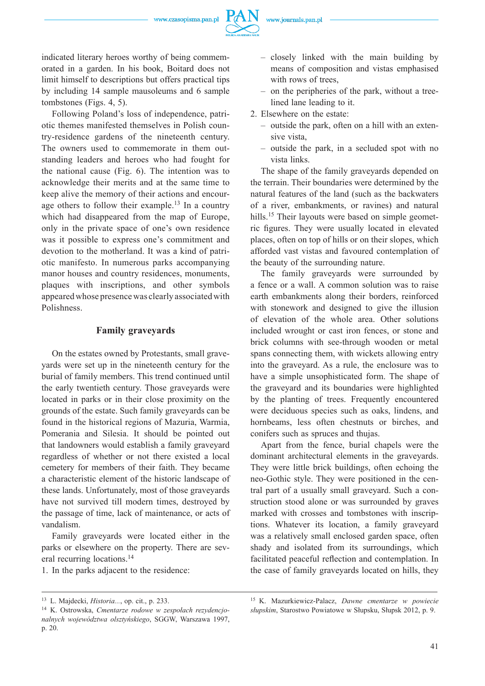



indicated literary heroes worthy of being commemorated in a garden. In his book, Boitard does not limit himself to descriptions but offers practical tips by including 14 sample mausoleums and 6 sample tombstones (Figs. 4, 5).

Following Poland's loss of independence, patriotic themes manifested themselves in Polish country-residence gardens of the nineteenth century. The owners used to commemorate in them outstanding leaders and heroes who had fought for the national cause (Fig. 6). The intention was to acknowledge their merits and at the same time to keep alive the memory of their actions and encourage others to follow their example.<sup>13</sup> In a country which had disappeared from the map of Europe, only in the private space of one's own residence was it possible to express one's commitment and devotion to the motherland. It was a kind of patriotic manifesto. In numerous parks accompanying manor houses and country residences, monuments, plaques with inscriptions, and other symbols appeared whose presence was clearly associated with Polishness.

## **Family graveyards**

On the estates owned by Protestants, small graveyards were set up in the nineteenth century for the burial of family members. This trend continued until the early twentieth century. Those graveyards were located in parks or in their close proximity on the grounds of the estate. Such family graveyards can be found in the historical regions of Mazuria, Warmia, Pomerania and Silesia. It should be pointed out that landowners would establish a family graveyard regardless of whether or not there existed a local cemetery for members of their faith. They became a characteristic element of the historic landscape of these lands. Unfortunately, most of those graveyards have not survived till modern times, destroyed by the passage of time, lack of maintenance, or acts of vandalism.

Family graveyards were located either in the parks or elsewhere on the property. There are several recurring locations.14

1. In the parks adjacent to the residence:

- closely linked with the main building by means of composition and vistas emphasised with rows of trees.
- on the peripheries of the park, without a treelined lane leading to it.
- 2. Elsewhere on the estate:
	- outside the park, often on a hill with an extensive vista,
	- outside the park, in a secluded spot with no vista links.

The shape of the family graveyards depended on the terrain. Their boundaries were determined by the natural features of the land (such as the backwaters of a river, embankments, or ravines) and natural hills.<sup>15</sup> Their layouts were based on simple geometric figures. They were usually located in elevated places, often on top of hills or on their slopes, which afforded vast vistas and favoured contemplation of the beauty of the surrounding nature.

The family graveyards were surrounded by a fence or a wall. A common solution was to raise earth embankments along their borders, reinforced with stonework and designed to give the illusion of elevation of the whole area. Other solutions included wrought or cast iron fences, or stone and brick columns with see-through wooden or metal spans connecting them, with wickets allowing entry into the graveyard. As a rule, the enclosure was to have a simple unsophisticated form. The shape of the graveyard and its boundaries were highlighted by the planting of trees. Frequently encountered were deciduous species such as oaks, lindens, and hornbeams, less often chestnuts or birches, and conifers such as spruces and thujas.

Apart from the fence, burial chapels were the dominant architectural elements in the graveyards. They were little brick buildings, often echoing the neo-Gothic style. They were positioned in the central part of a usually small graveyard. Such a construction stood alone or was surrounded by graves marked with crosses and tombstones with inscriptions. Whatever its location, a family graveyard was a relatively small enclosed garden space, often shady and isolated from its surroundings, which facilitated peaceful reflection and contemplation. In the case of family graveyards located on hills, they

<sup>13</sup> L. Majdecki, *Historia...*, op. cit., p. 233.

<sup>14</sup> K. Ostrowska, *Cmentarze rodowe w zespołach rezydencjonalnych województwa olsztyńskiego*, SGGW, Warszawa 1997, p. 20.

<sup>15</sup> K. Mazurkiewicz-Palacz, *Dawne cmentarze w powiecie słupskim*, Starostwo Powiatowe w Słupsku, Słupsk 2012, p. 9.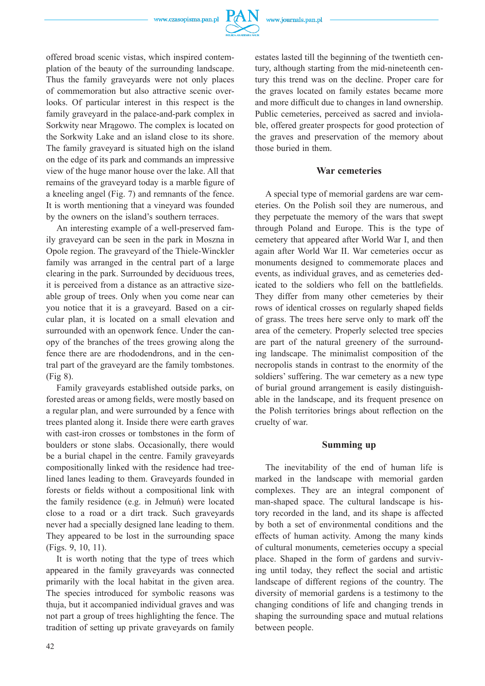

offered broad scenic vistas, which inspired contemplation of the beauty of the surrounding landscape. Thus the family graveyards were not only places of commemoration but also attractive scenic overlooks. Of particular interest in this respect is the family graveyard in the palace-and-park complex in Sorkwity near Mrągowo. The complex is located on the Sorkwity Lake and an island close to its shore. The family graveyard is situated high on the island on the edge of its park and commands an impressive view of the huge manor house over the lake. All that remains of the graveyard today is a marble figure of a kneeling angel (Fig. 7) and remnants of the fence. It is worth mentioning that a vineyard was founded by the owners on the island's southern terraces.

An interesting example of a well-preserved family graveyard can be seen in the park in Moszna in Opole region. The graveyard of the Thiele-Winckler family was arranged in the central part of a large clearing in the park. Surrounded by deciduous trees, it is perceived from a distance as an attractive sizeable group of trees. Only when you come near can you notice that it is a graveyard. Based on a circular plan, it is located on a small elevation and surrounded with an openwork fence. Under the canopy of the branches of the trees growing along the fence there are are rhododendrons, and in the central part of the graveyard are the family tombstones. (Fig 8).

Family graveyards established outside parks, on forested areas or among fields, were mostly based on a regular plan, and were surrounded by a fence with trees planted along it. Inside there were earth graves with cast-iron crosses or tombstones in the form of boulders or stone slabs. Occasionally, there would be a burial chapel in the centre. Family graveyards compositionally linked with the residence had treelined lanes leading to them. Graveyards founded in forests or fields without a compositional link with the family residence (e.g. in Jełmuń) were located close to a road or a dirt track. Such graveyards never had a specially designed lane leading to them. They appeared to be lost in the surrounding space (Figs. 9, 10, 11).

It is worth noting that the type of trees which appeared in the family graveyards was connected primarily with the local habitat in the given area. The species introduced for symbolic reasons was thuja, but it accompanied individual graves and was not part a group of trees highlighting the fence. The tradition of setting up private graveyards on family

estates lasted till the beginning of the twentieth century, although starting from the mid-nineteenth century this trend was on the decline. Proper care for the graves located on family estates became more and more difficult due to changes in land ownership. Public cemeteries, perceived as sacred and inviolable, offered greater prospects for good protection of the graves and preservation of the memory about those buried in them.

#### **War cemeteries**

A special type of memorial gardens are war cemeteries. On the Polish soil they are numerous, and they perpetuate the memory of the wars that swept through Poland and Europe. This is the type of cemetery that appeared after World War I, and then again after World War II. War cemeteries occur as monuments designed to commemorate places and events, as individual graves, and as cemeteries dedicated to the soldiers who fell on the battlefields. They differ from many other cemeteries by their rows of identical crosses on regularly shaped fields of grass. The trees here serve only to mark off the area of the cemetery. Properly selected tree species are part of the natural greenery of the surrounding landscape. The minimalist composition of the necropolis stands in contrast to the enormity of the soldiers' suffering. The war cemetery as a new type of burial ground arrangement is easily distinguishable in the landscape, and its frequent presence on the Polish territories brings about reflection on the cruelty of war.

### **Summing up**

The inevitability of the end of human life is marked in the landscape with memorial garden complexes. They are an integral component of man-shaped space. The cultural landscape is history recorded in the land, and its shape is affected by both a set of environmental conditions and the effects of human activity. Among the many kinds of cultural monuments, cemeteries occupy a special place. Shaped in the form of gardens and surviving until today, they reflect the social and artistic landscape of different regions of the country. The diversity of memorial gardens is a testimony to the changing conditions of life and changing trends in shaping the surrounding space and mutual relations between people.